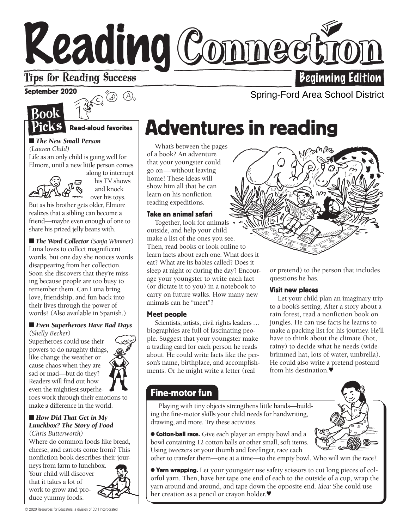# Reading Connee

### **Tips for Reading Success**

September 2020



 $\odot$ (D)  $\odot$ ),

Read-aloud favorites

#### ■ *The New Small Person (Lauren Child)*

Life as an only child is going well for Elmore, until a new little person comes



along to interrupt his TV shows and knock over his toys.

But as his brother gets older, Elmore realizes that a sibling can become a friend—maybe even enough of one to share his prized jelly beans with.

■ *The Word Collector (Sonja Wimmer)* Luna loves to collect magnificent words, but one day she notices words disappearing from her collection. Soon she discovers that they're missing because people are too busy to remember them. Can Luna bring love, friendship, and fun back into their lives through the power of words? (Also available in Spanish.)

#### ■ *Even Superheroes Have Bad Days (Shelly Becker)*

Superheroes could use their powers to do naughty things, like change the weather or cause chaos when they are sad or mad—but do they? Readers will find out how even the mightiest superhe-



roes work through their emotions to make a difference in the world.

#### ■ *How Did That Get in My Lunchbox? The Story of Food (Chris Butterworth)*

Where do common foods like bread, cheese, and carrots come from? This nonfiction book describes their jour-

neys from farm to lunchbox. Your child will discover that it takes a lot of work to grow and produce yummy foods.

# Adventures in reading

What's between the pages of a book? An adventure that your youngster could go on—without leaving home! These ideas will show him all that he can learn on his nonfiction reading expeditions.

#### Take an animal safari

Together, look for animals outside, and help your child make a list of the ones you see. Then, read books or look online to learn facts about each one. What does it eat? What are its babies called? Does it sleep at night or during the day? Encourage your youngster to write each fact (or dictate it to you) in a notebook to carry on future walks. How many new animals can he "meet"?

#### Meet people

Scientists, artists, civil rights leaders … biographies are full of fascinating people. Suggest that your youngster make a trading card for each person he reads about. He could write facts like the person's name, birthplace, and accomplishments. Or he might write a letter (real



or pretend) to the person that includes questions he has.

#### Visit new places

Let your child plan an imaginary trip to a book's setting. After a story about a rain forest, read a nonfiction book on jungles. He can use facts he learns to make a packing list for his journey. He'll have to think about the climate (hot, rainy) to decide what he needs (widebrimmed hat, lots of water, umbrella). He could also write a pretend postcard from his destination.♥

#### Fine-motor fun

w Playing with tiny objects strengthens little hands—building the fine-motor skills your child needs for handwriting, drawing, and more. Try these activities.

● Cotton-ball race. Give each player an empty bowl and a bowl containing 12 cotton balls or other small, soft items. Using tweezers or your thumb and forefinger, race each



other to transfer them—one at a time—to the empty bowl. Who will win the race?

● Yarn wrapping. Let your youngster use safety scissors to cut long pieces of colorful yarn. Then, have her tape one end of each to the outside of a cup, wrap the yarn around and around, and tape down the opposite end. *Idea:* She could use her creation as a pencil or crayon holder.♥



Spring-Ford Area School District